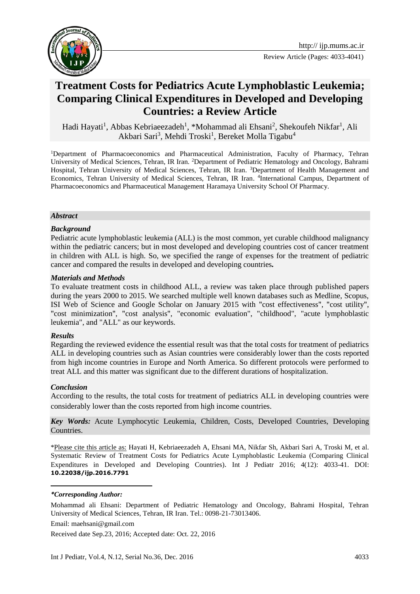

Review Article (Pages: 4033-4041)

# **Treatment Costs for Pediatrics Acute Lymphoblastic Leukemia; Comparing Clinical Expenditures in Developed and Developing Countries: a Review Article**

Hadi Hayati<sup>1</sup>, Abbas Kebriaeezadeh<sup>1</sup>, \*Mohammad ali Ehsani<sup>2</sup>, Shekoufeh Nikfar<sup>1</sup>, Ali Akbari Sari<sup>3</sup>, Mehdi Troski<sup>1</sup>, Bereket Molla Tigabu<sup>4</sup>

<sup>1</sup>Department of Pharmacoeconomics and Pharmaceutical Administration, Faculty of Pharmacy, Tehran University of Medical Sciences, Tehran, IR Iran. <sup>2</sup>Department of Pediatric Hematology and Oncology, Bahrami Hospital, Tehran University of Medical Sciences, Tehran, IR Iran. <sup>3</sup>Department of Health Management and Economics, Tehran University of Medical Sciences, Tehran, IR Iran. <sup>4</sup>International Campus, Department of Pharmacoeconomics and Pharmaceutical Management Haramaya University School Of Pharmacy.

#### *Abstract*

#### *Background*

Pediatric acute lymphoblastic leukemia (ALL) is the most common, yet curable childhood malignancy within the pediatric cancers; but in most developed and developing countries cost of cancer treatment in children with ALL is high. So, we specified the range of expenses for the treatment of pediatric cancer and compared the results in developed and developing countries*.*

#### *Materials and Methods*

To evaluate treatment costs in childhood ALL, a review was taken place through published papers during the years 2000 to 2015. We searched multiple well known databases such as Medline, Scopus, ISI Web of Science and Google Scholar on January 2015 with "cost effectiveness", "cost utility", "cost minimization", "cost analysis", "economic evaluation", "childhood", "acute lymphoblastic leukemia", and "ALL" as our keywords.

#### *Results*

Regarding the reviewed evidence the essential result was that the total costs for treatment of pediatrics ALL in developing countries such as Asian countries were considerably lower than the costs reported from high income countries in Europe and North America. So different protocols were performed to treat ALL and this matter was significant due to the different durations of hospitalization.

#### *Conclusion*

According to the results, the total costs for treatment of pediatrics ALL in developing countries were considerably lower than the costs reported from high income countries.

*Key Words:* Acute Lymphocytic Leukemia, Children, Costs, Developed Countries, Developing Countries.

\*Please cite this article as: Hayati H, Kebriaeezadeh A, Ehsani MA, Nikfar Sh, Akbari Sari A, Troski M, et al. Systematic Review of Treatment Costs for Pediatrics Acute Lymphoblastic Leukemia (Comparing Clinical Expenditures in Developed and Developing Countries). Int J Pediatr 2016; 4(12): 4033-41. DOI: **10.22038/ijp.2016.7791**

#### *\*Corresponding Author:*

**.** 

Mohammad ali Ehsani: Department of Pediatric Hematology and Oncology, Bahrami Hospital, Tehran University of Medical Sciences, Tehran, IR Iran. Tel.: 0098-21-73013406.

Received date Sep.23, 2016; Accepted date: Oct. 22, 2016

Email: [maehsani@gmail.com](mailto:maehsani@gmail.com)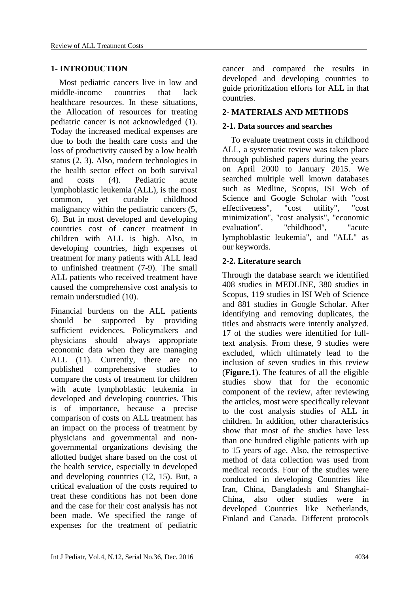### **1- INTRODUCTION**

 Most pediatric cancers live in low and middle-income countries that lack healthcare resources. In these situations, the Allocation of resources for treating pediatric cancer is not acknowledged (1). Today the increased medical expenses are due to both the health care costs and the loss of productivity caused by a low health status (2, 3). Also, modern technologies in the health sector effect on both survival and costs (4). Pediatric acute lymphoblastic leukemia (ALL), is the most common, yet curable childhood malignancy within the pediatric cancers (5, 6). But in most developed and developing countries cost of cancer treatment in children with ALL is high. Also, in developing countries, high expenses of treatment for many patients with ALL lead to unfinished treatment (7-9). The small ALL patients who received treatment have caused the comprehensive cost analysis to remain understudied (10).

Financial burdens on the ALL patients should be supported by providing sufficient evidences. Policymakers and physicians should always appropriate economic data when they are managing ALL (11). Currently, there are no published comprehensive studies to compare the costs of treatment for children with acute lymphoblastic leukemia in developed and developing countries. This is of importance, because a precise comparison of costs on ALL treatment has an impact on the process of treatment by physicians and governmental and nongovernmental organizations devising the allotted budget share based on the cost of the health service, especially in developed and developing countries (12, 15). But, a critical evaluation of the costs required to treat these conditions has not been done and the case for their cost analysis has not been made. We specified the range of expenses for the treatment of pediatric cancer and compared the results in developed and developing countries to guide prioritization efforts for ALL in that countries.

### **2- MATERIALS AND METHODS**

#### **2-1. Data sources and searches**

 To evaluate treatment costs in childhood ALL, a systematic review was taken place through published papers during the years on April 2000 to January 2015. We searched multiple well known databases such as Medline, Scopus, ISI Web of Science and Google Scholar with "cost<br>effectiveness", "cost utility", "cost effectiveness", "cost utility", "cost minimization", "cost analysis", "economic evaluation", "childhood", "acute lymphoblastic leukemia", and "ALL" as our keywords.

### **2-2. Literature search**

Through the database search we identified 408 studies in MEDLINE, 380 studies in Scopus, 119 studies in ISI Web of Science and 881 studies in Google Scholar. After identifying and removing duplicates, the titles and abstracts were intently analyzed. 17 of the studies were identified for fulltext analysis. From these, 9 studies were excluded, which ultimately lead to the inclusion of seven studies in this review (**Figure.1**). The features of all the eligible studies show that for the economic component of the review, after reviewing the articles, most were specifically relevant to the cost analysis studies of ALL in children. In addition, other characteristics show that most of the studies have less than one hundred eligible patients with up to 15 years of age. Also, the retrospective method of data collection was used from medical records. Four of the studies were conducted in developing Countries like Iran, China, Bangladesh and Shanghai-China, also other studies were in developed Countries like Netherlands, Finland and Canada. Different protocols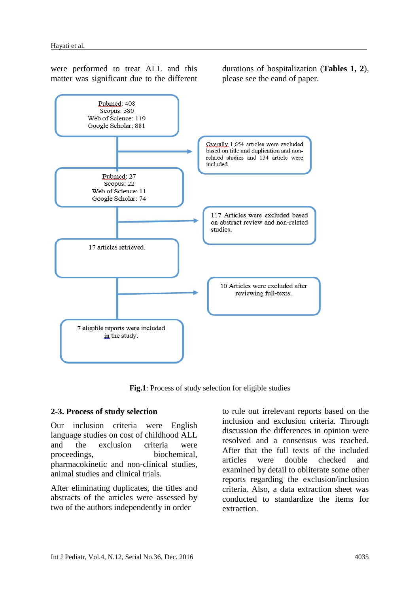were performed to treat ALL and this matter was significant due to the different

durations of hospitalization (**Tables 1, 2**), please see the eand of paper.



**Fig.1**: Process of study selection for eligible studies

#### **2-3. Process of study selection**

Our inclusion criteria were English language studies on cost of childhood ALL and the exclusion criteria were proceedings, biochemical, pharmacokinetic and non-clinical studies, animal studies and clinical trials.

After eliminating duplicates, the titles and abstracts of the articles were assessed by two of the authors independently in order

to rule out irrelevant reports based on the inclusion and exclusion criteria. Through discussion the differences in opinion were resolved and a consensus was reached. After that the full texts of the included articles were double checked and examined by detail to obliterate some other reports regarding the exclusion/inclusion criteria. Also, a data extraction sheet was conducted to standardize the items for extraction.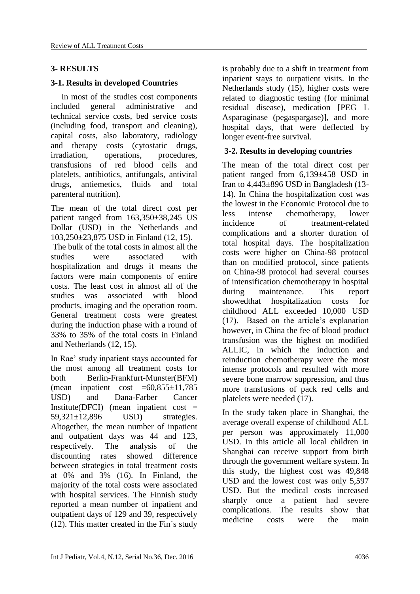### **3- RESULTS**

#### **3-1. Results in developed Countries**

 In most of the studies cost components included general administrative and technical service costs, bed service costs (including food, transport and cleaning), capital costs, also laboratory, radiology and therapy costs (cytostatic drugs, irradiation, operations, procedures, transfusions of red blood cells and platelets, antibiotics, antifungals, antiviral drugs, antiemetics, fluids and total parenteral nutrition).

The mean of the total direct cost per patient ranged from 163,350±38,245 US Dollar (USD) in the Netherlands and 103,250±23,875 USD in Finland (12, 15).

The bulk of the total costs in almost all the studies were associated with hospitalization and drugs it means the factors were main components of entire costs. The least cost in almost all of the studies was associated with blood products, imaging and the operation room. General treatment costs were greatest during the induction phase with a round of 33% to 35% of the total costs in Finland and Netherlands (12, 15).

In Rae' study inpatient stays accounted for the most among all treatment costs for both Berlin-Frankfurt-Munster(BFM) (mean inpatient cost  $=60,855\pm11,785$ <br>USD) and Dana-Farber Cancer USD) and Dana-Farber Institute(DFCI) (mean inpatient cost  $=$ 59,321±12,896 USD) strategies. Altogether, the mean number of inpatient and outpatient days was 44 and 123, respectively. The analysis of the discounting rates showed difference between strategies in total treatment costs at 0% and 3% (16). In Finland, the majority of the total costs were associated with hospital services. The Finnish study reported a mean number of inpatient and outpatient days of 129 and 39, respectively (12). This matter created in the Fin`s study

is probably due to a shift in treatment from inpatient stays to outpatient visits. In the Netherlands study (15), higher costs were related to diagnostic testing (for minimal residual disease), medication [PEG L Asparaginase (pegaspargase)], and more hospital days, that were deflected by longer event-free survival.

### **3-2. Results in developing countries**

The mean of the total direct cost per patient ranged from 6,139±458 USD in Iran to 4,443±896 USD in Bangladesh (13- 14). In China the hospitalization cost was the lowest in the Economic Protocol due to less intense chemotherapy, lower incidence of treatment-related complications and a shorter duration of total hospital days. The hospitalization costs were higher on China-98 protocol than on modified protocol, since patients on China-98 protocol had several courses of intensification chemotherapy in hospital during maintenance. This report showedthat hospitalization costs for childhood ALL exceeded 10,000 USD (17). Based on the article's explanation however, in China the fee of blood product transfusion was the highest on modified ALLIC, in which the induction and reinduction chemotherapy were the most intense protocols and resulted with more severe bone marrow suppression, and thus more transfusions of pack red cells and platelets were needed (17).

In the study taken place in Shanghai, the average overall expense of childhood ALL per person was approximately 11,000 USD. In this article all local children in Shanghai can receive support from birth through the government welfare system. In this study, the highest cost was 49,848 USD and the lowest cost was only 5,597 USD. But the medical costs increased sharply once a patient had severe complications. The results show that medicine costs were the main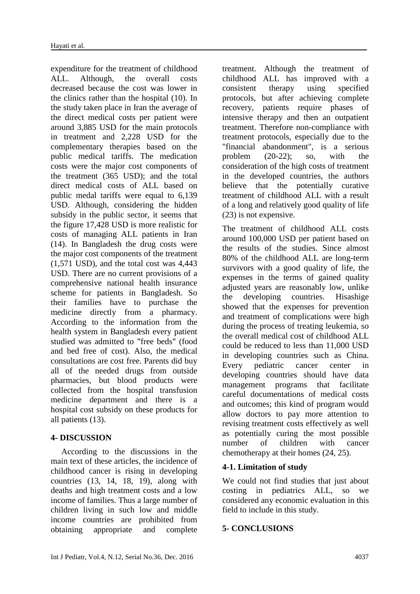expenditure for the treatment of childhood ALL. Although, the overall costs decreased because the cost was lower in the clinics rather than the hospital (10). In the study taken place in Iran the average of the direct medical costs per patient were around 3,885 USD for the main protocols in treatment and 2,228 USD for the complementary therapies based on the public medical tariffs. The medication costs were the major cost components of the treatment (365 USD); and the total direct medical costs of ALL based on public medal tariffs were equal to 6,139 USD. Although, considering the hidden subsidy in the public sector, it seems that the figure 17,428 USD is more realistic for costs of managing ALL patients in Iran (14). In Bangladesh the drug costs were the major cost components of the treatment (1,571 USD), and the total cost was 4,443 USD. There are no current provisions of a comprehensive national health insurance scheme for patients in Bangladesh. So their families have to purchase the medicine directly from a pharmacy. According to the information from the health system in Bangladesh every patient studied was admitted to "free beds" (food and bed free of cost). Also, the medical consultations are cost free. Parents did buy all of the needed drugs from outside pharmacies, but blood products were collected from the hospital transfusion medicine department and there is a hospital cost subsidy on these products for all patients (13).

# **4- DISCUSSION**

 According to the discussions in the main text of these articles, the incidence of childhood cancer is rising in developing countries (13, 14, 18, 19), along with deaths and high treatment costs and a low income of families. Thus a large number of children living in such low and middle income countries are prohibited from obtaining appropriate and complete

treatment. Although the treatment of childhood ALL has improved with a consistent therapy using specified protocols, but after achieving complete recovery, patients require phases of intensive therapy and then an outpatient treatment. Therefore non-compliance with treatment protocols, especially due to the "financial abandonment", is a serious problem (20-22); so, with the consideration of the high costs of treatment in the developed countries, the authors believe that the potentially curative treatment of childhood ALL with a result of a long and relatively good quality of life (23) is not expensive.

The treatment of childhood ALL costs around 100,000 USD per patient based on the results of the studies. Since almost 80% of the childhood ALL are long-term survivors with a good quality of life, the expenses in the terms of gained quality adjusted years are reasonably low, unlike the developing countries. Hisashige showed that the expenses for prevention and treatment of complications were high during the process of treating leukemia, so the overall medical cost of childhood ALL could be reduced to less than 11,000 USD in developing countries such as China. Every pediatric cancer center in developing countries should have data management programs that facilitate careful documentations of medical costs and outcomes; this kind of program would allow doctors to pay more attention to revising treatment costs effectively as well as potentially curing the most possible number of children with cancer chemotherapy at their homes (24, 25).

# **4-1. Limitation of study**

We could not find studies that just about costing in pediatrics ALL, so we considered any economic evaluation in this field to include in this study.

# **5- CONCLUSIONS**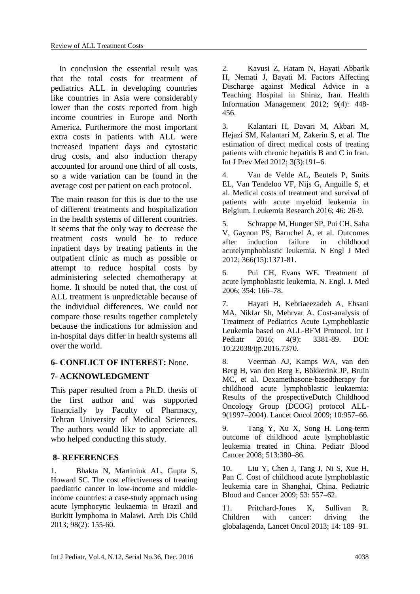In conclusion the essential result was that the total costs for treatment of pediatrics ALL in developing countries like countries in Asia were considerably lower than the costs reported from high income countries in Europe and North America. Furthermore the most important extra costs in patients with ALL were increased inpatient days and cytostatic drug costs, and also induction therapy accounted for around one third of all costs, so a wide variation can be found in the average cost per patient on each protocol.

The main reason for this is due to the use of different treatments and hospitalization in the health systems of different countries. It seems that the only way to decrease the treatment costs would be to reduce inpatient days by treating patients in the outpatient clinic as much as possible or attempt to reduce hospital costs by administering selected chemotherapy at home. It should be noted that, the cost of ALL treatment is unpredictable because of the individual differences. We could not compare those results together completely because the indications for admission and in-hospital days differ in health systems all over the world.

### **6- CONFLICT OF INTEREST:** None.

### **7- ACKNOWLEDGMENT**

This paper resulted from a Ph.D. thesis of the first author and was supported financially by Faculty of Pharmacy, Tehran University of Medical Sciences. The authors would like to appreciate all who helped conducting this study.

### **8- REFERENCES**

1. Bhakta N, Martiniuk AL, Gupta S, Howard SC. The cost effectiveness of treating paediatric cancer in low-income and middleincome countries: a case-study approach using acute lymphocytic leukaemia in Brazil and Burkitt lymphoma in Malawi. Arch Dis Child 2013; 98(2): 155-60.

2. Kavusi Z, Hatam N, Hayati Abbarik H, Nemati J, Bayati M. Factors Affecting Discharge against Medical Advice in a Teaching Hospital in Shiraz, Iran. Health Information Management 2012; 9(4): 448- 456.

3. Kalantari H, Davari M, Akbari M, Hejazi SM, Kalantari M, Zakerin S, et al. The estimation of direct medical costs of treating patients with chronic hepatitis B and C in Iran. Int J Prev Med 2012; 3(3):191–6.

4. Van de Velde AL, Beutels P, Smits EL, Van Tendeloo VF, Nijs G, Anguille S, et al. Medical costs of treatment and survival of patients with acute myeloid leukemia in Belgium. Leukemia Research 2016; 46: 26-9.

5. Schrappe M, Hunger SP, Pui CH, Saha V, Gaynon PS, Baruchel A, et al. Outcomes after induction failure in childhood acutelymphoblastic leukemia. N Engl J Med 2012; 366(15):1371-81.

6. Pui CH, Evans WE. Treatment of acute lymphoblastic leukemia, N. Engl. J. Med 2006; 354: 166–78.

7. Hayati H, Kebriaeezadeh A, Ehsani MA, Nikfar Sh, Mehrvar A. Cost-analysis of Treatment of Pediatrics Acute Lymphoblastic Leukemia based on ALL-BFM Protocol. Int J Pediatr 2016; 4(9): 3381-89. DOI: 10.22038/ijp.2016.7370.

8. Veerman AJ, Kamps WA, van den Berg H, van den Berg E, Bökkerink JP, Bruin MC, et al. Dexamethasone-basedtherapy for childhood acute lymphoblastic leukaemia: Results of the prospectiveDutch Childhood Oncology Group (DCOG) protocol ALL-9(1997–2004). Lancet Oncol 2009; 10:957–66.

9. Tang Y, Xu X, Song H. Long-term outcome of childhood acute lymphoblastic leukemia treated in China. Pediatr Blood Cancer 2008; 513:380–86.

10. Liu Y, Chen J, Tang J, Ni S, Xue H, Pan C. Cost of childhood acute lymphoblastic leukemia care in Shanghai, China. Pediatric Blood and Cancer 2009; 53: 557–62.

11. Pritchard-Jones K, Sullivan R. Children with cancer: driving the globalagenda, Lancet Oncol 2013; 14: 189–91.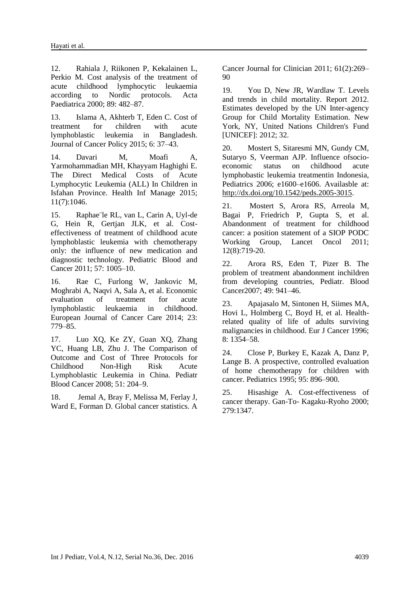12. Rahiala J, Riikonen P, Kekalainen L, Perkio M. Cost analysis of the treatment of acute childhood lymphocytic leukaemia according to Nordic protocols. Acta Paediatrica 2000; 89: 482–87.

13. Islama A, Akhterb T, Eden C. Cost of treatment for children with acute lymphoblastic leukemia in Bangladesh. Journal of Cancer Policy 2015; 6: 37–43.

14. Davari M, Moafi A, Yarmohammadian MH, Khayyam Haghighi E. The Direct Medical Costs of Acute Lymphocytic Leukemia (ALL) In Children in Isfahan Province. Health Inf Manage 2015; 11(7):1046.

15. Raphae¨le RL, van L, Carin A, Uyl-de G, Hein R, Gertjan JLK, et al. Costeffectiveness of treatment of childhood acute lymphoblastic leukemia with chemotherapy only: the influence of new medication and diagnostic technology. Pediatric Blood and Cancer 2011; 57: 1005–10.

16. Rae C, Furlong W, Jankovic M, Moghrabi A, Naqvi A, Sala A, et al. Economic evaluation of treatment for acute<br>
lymphoblastic leukaemia in childhood. leukaemia in childhood. European Journal of Cancer Care 2014; 23: 779–85.

17. Luo XQ, Ke ZY, Guan XQ, Zhang YC, Huang LB, Zhu J. The Comparison of Outcome and Cost of Three Protocols for Childhood Non-High Risk Acute Lymphoblastic Leukemia in China. Pediatr Blood Cancer 2008; 51: 204–9.

18. Jemal A, Bray F, Melissa M, Ferlay J, Ward E, Forman D. Global cancer statistics. A Cancer Journal for Clinician 2011; 61(2):269– 90

19. You D, New JR, Wardlaw T. Levels and trends in child mortality. Report 2012. Estimates developed by the UN Inter-agency Group for Child Mortality Estimation. New York, NY, United Nations Children's Fund [UNICEF]: 2012; 32.

20. Mostert S, Sitaresmi MN, Gundy CM, Sutaryo S, Veerman AJP. Influence ofsocioeconomic status on childhood acute lymphobastic leukemia treatmentin Indonesia, Pediatrics 2006; e1600–e1606. Availasble at: [http://dx.doi.org/10.1542/peds.2005-3015.](http://dx.doi.org/10.1542/peds.2005-3015)

21. Mostert S, Arora RS, Arreola M, Bagai P, Friedrich P, Gupta S, et al. Abandonment of treatment for childhood cancer: a position statement of a SIOP PODC Working Group, Lancet Oncol 2011; 12(8):719-20.

22. Arora RS, Eden T, Pizer B. The problem of treatment abandonment inchildren from developing countries, Pediatr. Blood Cancer2007; 49: 941–46.

23. Apajasalo M, Sintonen H, Siimes MA, Hovi L, Holmberg C, Boyd H, et al. Healthrelated quality of life of adults surviving malignancies in childhood. Eur J Cancer 1996; 8: 1354–58.

24. Close P, Burkey E, Kazak A, Danz P, Lange B. A prospective, controlled evaluation of home chemotherapy for children with cancer. Pediatrics 1995; 95: 896–900.

25. Hisashige A. Cost-effectiveness of cancer therapy. Gan-To- Kagaku-Ryoho 2000; 279:1347.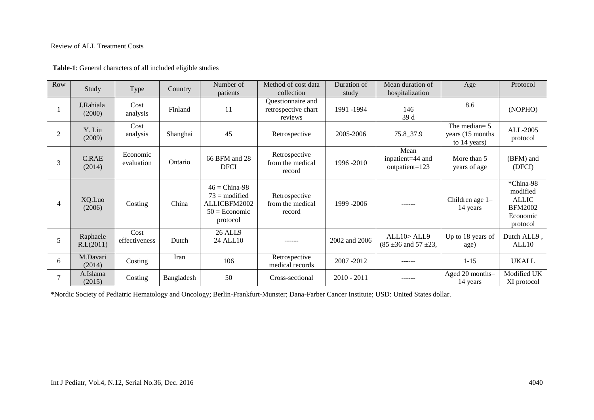#### Review of ALL Treatment Costs

**Table-1**: General characters of all included eligible studies

| Row            | Study                 | Type                   | Country    | Number of<br>patients                                                              | Method of cost data<br>collection                   | Duration of<br>study | Mean duration of<br>hospitalization                | Age                                                  | Protocol                                                                        |
|----------------|-----------------------|------------------------|------------|------------------------------------------------------------------------------------|-----------------------------------------------------|----------------------|----------------------------------------------------|------------------------------------------------------|---------------------------------------------------------------------------------|
|                | J.Rahiala<br>(2000)   | Cost<br>analysis       | Finland    | 11                                                                                 | Questionnaire and<br>retrospective chart<br>reviews | 1991 -1994           | 146<br>39 d                                        | 8.6                                                  | (NOPHO)                                                                         |
| 2              | Y. Liu<br>(2009)      | Cost<br>analysis       | Shanghai   | 45                                                                                 | Retrospective                                       | 2005-2006            | 75.8_37.9                                          | The median= $5$<br>years (15 months)<br>to 14 years) | ALL-2005<br>protocol                                                            |
| 3              | C.RAE<br>(2014)       | Economic<br>evaluation | Ontario    | 66 BFM and 28<br><b>DFCI</b>                                                       | Retrospective<br>from the medical<br>record         | 1996 - 2010          | Mean<br>inpatient=44 and<br>outpatient=123         | More than 5<br>years of age                          | (BFM) and<br>(DFCI)                                                             |
| 4              | XQ.Luo<br>(2006)      | Costing                | China      | $46 = China-98$<br>$73$ = modified<br>ALLICBFM2002<br>$50 = E$ conomic<br>protocol | Retrospective<br>from the medical<br>record         | 1999 - 2006          | ------                                             | Children age $1-$<br>14 years                        | *China-98<br>modified<br><b>ALLIC</b><br><b>BFM2002</b><br>Economic<br>protocol |
| 5              | Raphaele<br>R.L(2011) | Cost<br>effectiveness  | Dutch      | <b>26 ALL9</b><br>24 ALL10                                                         | ------                                              | 2002 and 2006        | ALL10>ALL9<br>$(85 \pm 36 \text{ and } 57 \pm 23,$ | Up to 18 years of<br>age)                            | Dutch ALL9,<br>ALL10                                                            |
| 6              | M.Davari<br>(2014)    | Costing                | Iran       | 106                                                                                | Retrospective<br>medical records                    | 2007-2012            | ------                                             | $1 - 15$                                             | <b>UKALL</b>                                                                    |
| $\overline{7}$ | A.Islama<br>(2015)    | Costing                | Bangladesh | 50                                                                                 | Cross-sectional                                     | $2010 - 2011$        |                                                    | Aged 20 months-<br>14 years                          | Modified UK<br>XI protocol                                                      |

\*Nordic Society of Pediatric Hematology and Oncology; Berlin-Frankfurt-Munster; Dana-Farber Cancer Institute; USD: United States dollar.